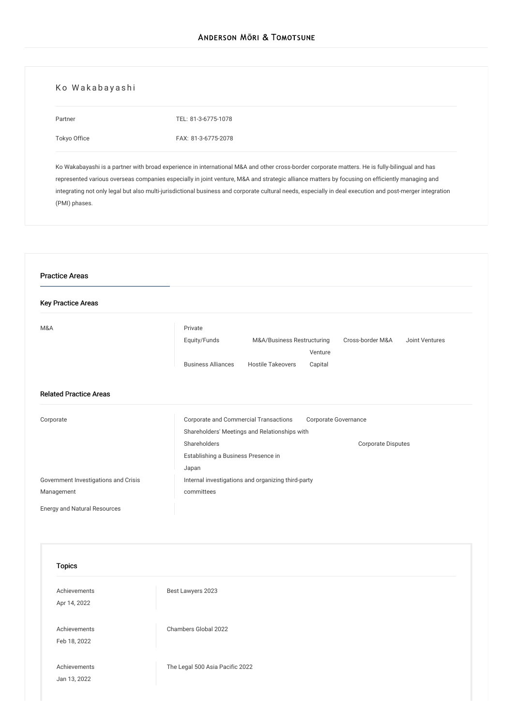# Ko Wakabayashi

Partner

[Tokyo](/en/locations/tokyo) Office

TEL: [81-3-6775-1078](tel:81-3-6775-1078) FAX: 81-3-6775-2078

Ko Wakabayashi is a partner with broad experience in international M&A and other cross-border corporate matters. He is fully-bilingual and has represented various overseas companies especially in joint venture, M&A and strategic alliance matters by focusing on efficiently managing and integrating not only legal but also multi-jurisdictional business and corporate cultural needs, especially in deal execution and post-merger integration (PMI) phases.

| <b>Key Practice Areas</b>            |                                                                                             |
|--------------------------------------|---------------------------------------------------------------------------------------------|
| M&A                                  | Private                                                                                     |
|                                      | Equity/Funds<br>Cross-border M&A<br>M&A/Business Restructuring<br>Joint Ventures<br>Venture |
|                                      | <b>Business Alliances</b><br><b>Hostile Takeovers</b><br>Capital                            |
| <b>Related Practice Areas</b>        |                                                                                             |
| Corporate                            | Corporate and Commercial Transactions<br>Corporate Governance                               |
|                                      | Shareholders' Meetings and Relationships with<br>Shareholders<br>Corporate Disputes         |
|                                      | Establishing a Business Presence in                                                         |
|                                      | Japan                                                                                       |
| Government Investigations and Crisis | Internal investigations and organizing third-party                                          |
| Management                           | committees                                                                                  |
|                                      |                                                                                             |
| <b>Energy and Natural Resources</b>  |                                                                                             |
|                                      |                                                                                             |
|                                      |                                                                                             |
| <b>Topics</b>                        |                                                                                             |
| Achievements                         |                                                                                             |
| Apr 14, 2022                         | Best Lawyers 2023                                                                           |
|                                      |                                                                                             |
| Achievements                         | Chambers Global 2022                                                                        |
| Feb 18, 2022                         |                                                                                             |
| Achievements                         | The Legal 500 Asia Pacific 2022                                                             |